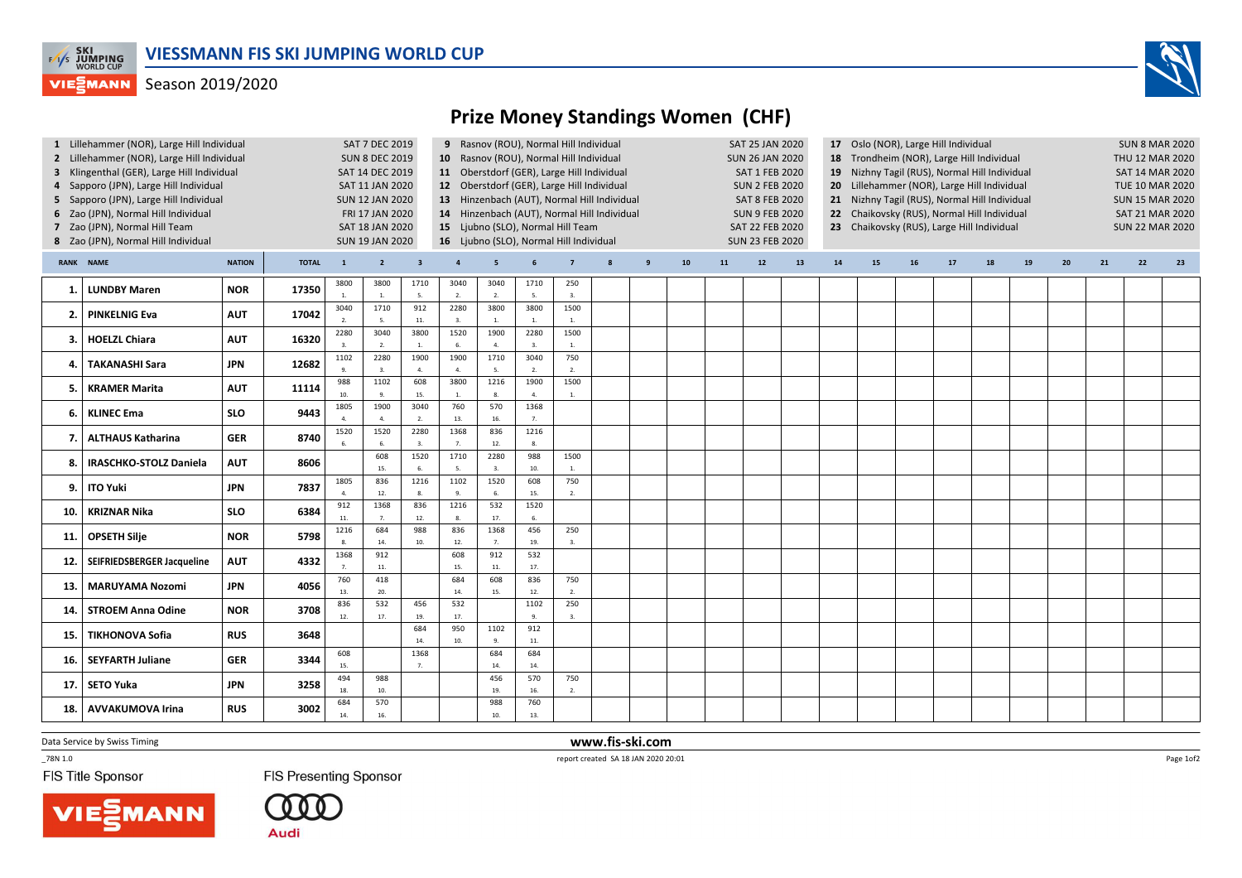

## **VIESMANN** Season 2019/2020



## Prize Money Standings Women (CHF)

| 1 Lillehammer (NOR), Large Hill Individual<br>2 Lillehammer (NOR), Large Hill Individual<br>3 Klingenthal (GER), Large Hill Individual<br>4 Sapporo (JPN), Large Hill Individual<br>5 Sapporo (JPN), Large Hill Individual<br>6 Zao (JPN), Normal Hill Individual<br>7 Zao (JPN), Normal Hill Team<br>8 Zao (JPN), Normal Hill Individual |                               |            |              |                        | SAT 7 DEC 2019<br><b>SUN 8 DEC 2019</b><br>SAT 14 DEC 2019<br>SAT 11 JAN 2020<br><b>SUN 12 JAN 2020</b><br>FRI 17 JAN 2020<br>SAT 18 JAN 2020<br><b>SUN 19 JAN 2020</b> |                         | 10 Rasnov (ROU), Normal Hill Individual<br>11 Oberstdorf (GER), Large Hill Individual<br>12 Oberstdorf (GER), Large Hill Individual<br>13 Hinzenbach (AUT), Normal Hill Individual<br>14 Hinzenbach (AUT), Normal Hill Individual<br>15 Ljubno (SLO), Normal Hill Team<br>16 Ljubno (SLO), Normal Hill Individual | 9 Rasnov (ROU), Normal Hill Individual |                        |                        |              |                | SAT 25 JAN 2020<br><b>SUN 26 JAN 2020</b><br><b>SAT 1 FEB 2020</b><br><b>SUN 2 FEB 2020</b><br><b>SAT 8 FEB 2020</b><br><b>SUN 9 FEB 2020</b><br>SAT 22 FEB 2020<br><b>SUN 23 FEB 2020</b> |    |      |    | 17 Oslo (NOR), Large Hill Individual<br>18 Trondheim (NOR), Large Hill Individual<br>19 Nizhny Tagil (RUS), Normal Hill Individual<br>20 Lillehammer (NOR), Large Hill Individual<br>21 Nizhny Tagil (RUS), Normal Hill Individual<br>22 Chaikovsky (RUS), Normal Hill Individual<br>23 Chaikovsky (RUS), Large Hill Individual |    |    |    |    |    |    |    | <b>SUN 8 MAR 2020</b><br>THU 12 MAR 2020<br>SAT 14 MAR 2020<br>TUE 10 MAR 2020<br><b>SUN 15 MAR 2020</b><br>SAT 21 MAR 2020<br><b>SUN 22 MAR 2020</b> |    |  |
|-------------------------------------------------------------------------------------------------------------------------------------------------------------------------------------------------------------------------------------------------------------------------------------------------------------------------------------------|-------------------------------|------------|--------------|------------------------|-------------------------------------------------------------------------------------------------------------------------------------------------------------------------|-------------------------|-------------------------------------------------------------------------------------------------------------------------------------------------------------------------------------------------------------------------------------------------------------------------------------------------------------------|----------------------------------------|------------------------|------------------------|--------------|----------------|--------------------------------------------------------------------------------------------------------------------------------------------------------------------------------------------|----|------|----|---------------------------------------------------------------------------------------------------------------------------------------------------------------------------------------------------------------------------------------------------------------------------------------------------------------------------------|----|----|----|----|----|----|----|-------------------------------------------------------------------------------------------------------------------------------------------------------|----|--|
| RANK NAME<br><b>NATION</b>                                                                                                                                                                                                                                                                                                                |                               |            | <b>TOTAL</b> | $\mathbf{1}$           | $2^{\circ}$                                                                                                                                                             | $\overline{\mathbf{3}}$ | $\overline{a}$                                                                                                                                                                                                                                                                                                    | 5                                      |                        | $\overline{7}$         | $\mathbf{8}$ | $\overline{9}$ | ${\bf 10}$                                                                                                                                                                                 | 11 | $12$ | 13 | ${\bf 14}$                                                                                                                                                                                                                                                                                                                      | 15 | 16 | 17 | 18 | 19 | 20 | 21 | 22                                                                                                                                                    | 23 |  |
| 1.                                                                                                                                                                                                                                                                                                                                        | <b>LUNDBY Maren</b>           | <b>NOR</b> | 17350        | 3800                   | 3800<br>$\overline{1}$                                                                                                                                                  | 1710<br>5.              | 3040<br>2.                                                                                                                                                                                                                                                                                                        | 3040<br>2.                             | 1710<br>5.             | 250<br>3.              |              |                |                                                                                                                                                                                            |    |      |    |                                                                                                                                                                                                                                                                                                                                 |    |    |    |    |    |    |    |                                                                                                                                                       |    |  |
| 2.                                                                                                                                                                                                                                                                                                                                        | <b>PINKELNIG Eva</b>          | <b>AUT</b> | 17042        | 3040<br>2.             | 1710<br>$\overline{5}$                                                                                                                                                  | 912<br>11.              | 2280<br>3.                                                                                                                                                                                                                                                                                                        | 3800<br>1.                             | 3800<br>$\mathbf{1}$   | 1500<br>1.             |              |                |                                                                                                                                                                                            |    |      |    |                                                                                                                                                                                                                                                                                                                                 |    |    |    |    |    |    |    |                                                                                                                                                       |    |  |
| 3.                                                                                                                                                                                                                                                                                                                                        | HOELZL Chiara                 | <b>AUT</b> | 16320        | 2280<br>$\overline{3}$ | 3040<br>$\overline{2}$                                                                                                                                                  | 3800<br>1.              | 1520                                                                                                                                                                                                                                                                                                              | 1900<br>4.                             | 2280<br>$\overline{3}$ | 1500<br>1.             |              |                |                                                                                                                                                                                            |    |      |    |                                                                                                                                                                                                                                                                                                                                 |    |    |    |    |    |    |    |                                                                                                                                                       |    |  |
| 4.                                                                                                                                                                                                                                                                                                                                        | <b>TAKANASHI Sara</b>         | <b>JPN</b> | 12682        | 1102                   | 2280                                                                                                                                                                    | 1900<br>$\overline{a}$  | 1900<br>$\overline{a}$                                                                                                                                                                                                                                                                                            | 1710<br>5.                             | 3040                   | 750<br>2.              |              |                |                                                                                                                                                                                            |    |      |    |                                                                                                                                                                                                                                                                                                                                 |    |    |    |    |    |    |    |                                                                                                                                                       |    |  |
| 5.                                                                                                                                                                                                                                                                                                                                        | <b>KRAMER Marita</b>          | <b>AUT</b> | 11114        | 988<br>10.             | 1102                                                                                                                                                                    | 608<br>15.              | 3800<br>$\overline{1}$ .                                                                                                                                                                                                                                                                                          | 1216<br>8.                             | 1900                   | 1500<br>$\overline{1}$ |              |                |                                                                                                                                                                                            |    |      |    |                                                                                                                                                                                                                                                                                                                                 |    |    |    |    |    |    |    |                                                                                                                                                       |    |  |
| 6.                                                                                                                                                                                                                                                                                                                                        | <b>KLINEC Ema</b>             | <b>SLO</b> | 9443         | 1805                   | 1900<br>$\Lambda$                                                                                                                                                       | 3040<br>2.              | 760<br>13.                                                                                                                                                                                                                                                                                                        | 570<br>16.                             | 1368<br>7 <sub>1</sub> |                        |              |                |                                                                                                                                                                                            |    |      |    |                                                                                                                                                                                                                                                                                                                                 |    |    |    |    |    |    |    |                                                                                                                                                       |    |  |
| 7.                                                                                                                                                                                                                                                                                                                                        | <b>ALTHAUS Katharina</b>      | <b>GER</b> | 8740         | 1520                   | 1520                                                                                                                                                                    | 2280<br>3.              | 1368                                                                                                                                                                                                                                                                                                              | 836<br>12.                             | 1216                   |                        |              |                |                                                                                                                                                                                            |    |      |    |                                                                                                                                                                                                                                                                                                                                 |    |    |    |    |    |    |    |                                                                                                                                                       |    |  |
| 8.                                                                                                                                                                                                                                                                                                                                        | <b>IRASCHKO-STOLZ Daniela</b> | <b>AUT</b> | 8606         |                        | 608<br>15.                                                                                                                                                              | 1520<br>6.              | 1710<br>5.                                                                                                                                                                                                                                                                                                        | 2280<br>3.                             | 988<br>10.             | 1500<br>1.             |              |                |                                                                                                                                                                                            |    |      |    |                                                                                                                                                                                                                                                                                                                                 |    |    |    |    |    |    |    |                                                                                                                                                       |    |  |
| 9.                                                                                                                                                                                                                                                                                                                                        | <b>ITO Yuki</b>               | <b>JPN</b> | 7837         | 1805<br>$\Delta$       | 836<br>12.                                                                                                                                                              | 1216<br>8.              | 1102                                                                                                                                                                                                                                                                                                              | 1520<br>6.                             | 608<br>15.             | 750<br>2.              |              |                |                                                                                                                                                                                            |    |      |    |                                                                                                                                                                                                                                                                                                                                 |    |    |    |    |    |    |    |                                                                                                                                                       |    |  |
| 10                                                                                                                                                                                                                                                                                                                                        | <b>KRIZNAR Nika</b>           | <b>SLO</b> | 6384         | 912<br>11.             | 1368<br>$\overline{7}$                                                                                                                                                  | 836<br>12.              | 1216<br>$\mathbf{R}$                                                                                                                                                                                                                                                                                              | 532<br>17.                             | 1520<br>$\mathbf{f}$   |                        |              |                |                                                                                                                                                                                            |    |      |    |                                                                                                                                                                                                                                                                                                                                 |    |    |    |    |    |    |    |                                                                                                                                                       |    |  |
| 11.                                                                                                                                                                                                                                                                                                                                       | <b>OPSETH Silje</b>           | <b>NOR</b> | 5798         | 1216                   | 684<br>14.                                                                                                                                                              | 988<br>10.              | 836<br>12.                                                                                                                                                                                                                                                                                                        | 1368<br>7.                             | 456<br>19.             | 250<br>3.              |              |                |                                                                                                                                                                                            |    |      |    |                                                                                                                                                                                                                                                                                                                                 |    |    |    |    |    |    |    |                                                                                                                                                       |    |  |
| 12.                                                                                                                                                                                                                                                                                                                                       | SEIFRIEDSBERGER Jacqueline    | <b>AUT</b> | 4332         | 1368                   | 912<br>$\bf 11.$                                                                                                                                                        |                         | 608<br>15.                                                                                                                                                                                                                                                                                                        | 912<br>$11.$                           | 532<br>17.             |                        |              |                |                                                                                                                                                                                            |    |      |    |                                                                                                                                                                                                                                                                                                                                 |    |    |    |    |    |    |    |                                                                                                                                                       |    |  |
| 13.                                                                                                                                                                                                                                                                                                                                       | <b>MARUYAMA Nozomi</b>        | <b>JPN</b> | 4056         | 760<br>13.             | 418<br>20.                                                                                                                                                              |                         | 684<br>14.                                                                                                                                                                                                                                                                                                        | 608<br>15.                             | 836<br>12.             | 750<br>2.              |              |                |                                                                                                                                                                                            |    |      |    |                                                                                                                                                                                                                                                                                                                                 |    |    |    |    |    |    |    |                                                                                                                                                       |    |  |
| 14                                                                                                                                                                                                                                                                                                                                        | <b>STROEM Anna Odine</b>      | <b>NOR</b> | 3708         | 836<br>12.             | 532<br>17.                                                                                                                                                              | 456<br>19.              | 532<br>17.                                                                                                                                                                                                                                                                                                        |                                        | 1102<br>$\mathbf{q}$   | 250<br>3.              |              |                |                                                                                                                                                                                            |    |      |    |                                                                                                                                                                                                                                                                                                                                 |    |    |    |    |    |    |    |                                                                                                                                                       |    |  |
| 15.                                                                                                                                                                                                                                                                                                                                       | <b>TIKHONOVA Sofia</b>        | <b>RUS</b> | 3648         |                        |                                                                                                                                                                         | 684<br>14.              | 950<br>10.                                                                                                                                                                                                                                                                                                        | 1102<br>9.                             | 912<br>11.             |                        |              |                |                                                                                                                                                                                            |    |      |    |                                                                                                                                                                                                                                                                                                                                 |    |    |    |    |    |    |    |                                                                                                                                                       |    |  |
| 16.                                                                                                                                                                                                                                                                                                                                       | <b>SEYFARTH Juliane</b>       | <b>GER</b> | 3344         | 608<br>15.             |                                                                                                                                                                         | 1368<br>7.              |                                                                                                                                                                                                                                                                                                                   | 684<br>14.                             | 684<br>14.             |                        |              |                |                                                                                                                                                                                            |    |      |    |                                                                                                                                                                                                                                                                                                                                 |    |    |    |    |    |    |    |                                                                                                                                                       |    |  |
| 17                                                                                                                                                                                                                                                                                                                                        | <b>SETO Yuka</b>              | <b>JPN</b> | 3258         | 494<br>18.             | 988<br>10.                                                                                                                                                              |                         |                                                                                                                                                                                                                                                                                                                   | 456<br>19.                             | 570<br>16.             | 750<br>2.              |              |                |                                                                                                                                                                                            |    |      |    |                                                                                                                                                                                                                                                                                                                                 |    |    |    |    |    |    |    |                                                                                                                                                       |    |  |
| 18.                                                                                                                                                                                                                                                                                                                                       | <b>AVVAKUMOVA Irina</b>       | <b>RUS</b> | 3002         | 684<br>14              | 570<br>16.                                                                                                                                                              |                         |                                                                                                                                                                                                                                                                                                                   | 988<br>10.                             | 760<br>13.             |                        |              |                |                                                                                                                                                                                            |    |      |    |                                                                                                                                                                                                                                                                                                                                 |    |    |    |    |    |    |    |                                                                                                                                                       |    |  |

Data Service by Swiss Timing

 $-78N 1.0$ 

FIS Title Sponsor

**FIS Presenting Sponsor** 





 www.fis-ski.comreport created SA 18 JAN 2020 20:01